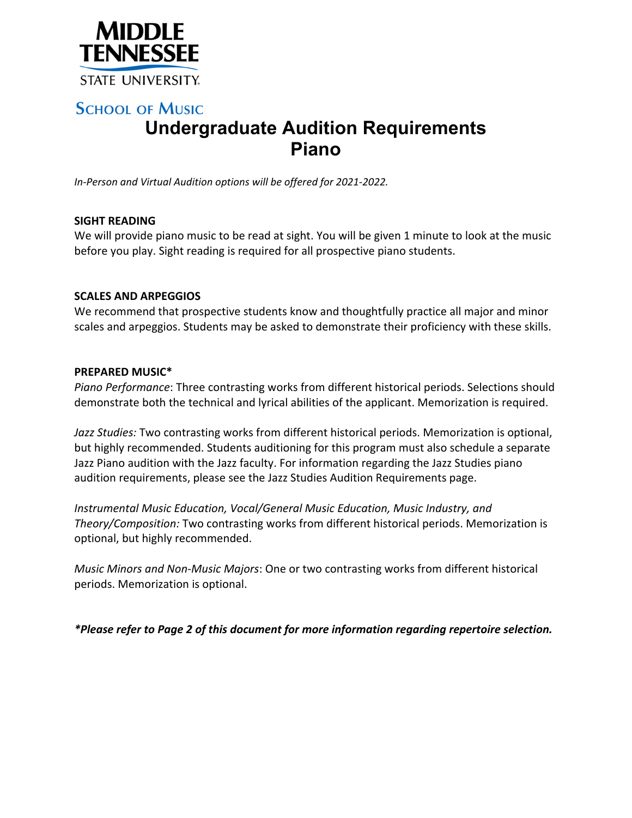

# **SCHOOL OF MUSIC Undergraduate Audition Requirements Piano**

*In‐Person and Virtual Audition options will be offered for 2021‐2022.*

### **SIGHT READING**

We will provide piano music to be read at sight. You will be given 1 minute to look at the music before you play. Sight reading is required for all prospective piano students.

#### **SCALES AND ARPEGGIOS**

We recommend that prospective students know and thoughtfully practice all major and minor scales and arpeggios. Students may be asked to demonstrate their proficiency with these skills.

#### **PREPARED MUSIC\***

*Piano Performance*: Three contrasting works from different historical periods. Selections should demonstrate both the technical and lyrical abilities of the applicant. Memorization is required.

*Jazz Studies:* Two contrasting works from different historical periods. Memorization is optional, but highly recommended. Students auditioning for this program must also schedule a separate Jazz Piano audition with the Jazz faculty. For information regarding the Jazz Studies piano audition requirements, please see the Jazz Studies Audition Requirements page.

*Instrumental Music Education, Vocal/General Music Education, Music Industry, and Theory/Composition:* Two contrasting works from different historical periods. Memorization is optional, but highly recommended.

*Music Minors and Non‐Music Majors*: One or two contrasting works from different historical periods. Memorization is optional.

*\*Please refer to Page 2 of this document for more information regarding repertoire selection.*